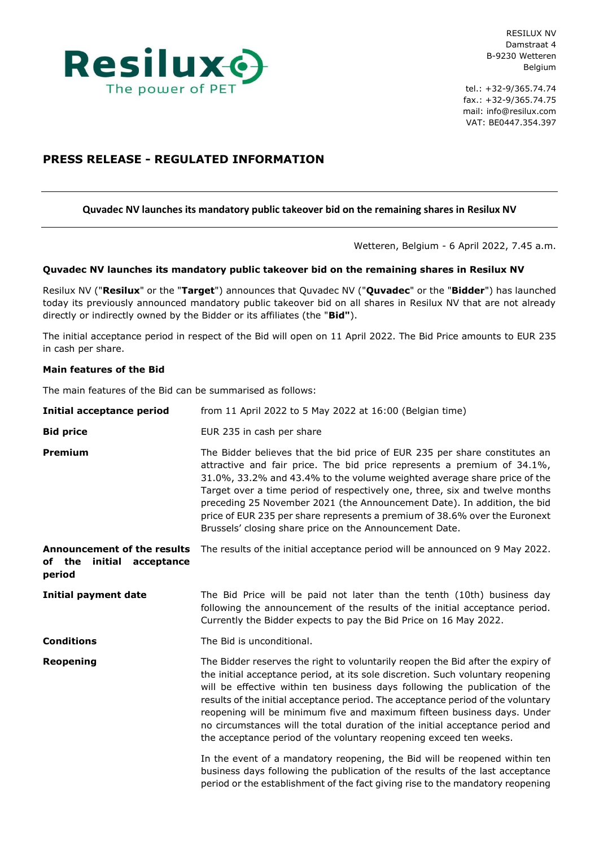

RESILUX NV Damstraat 4 B-9230 Wetteren Belgium

tel.: +32-9/365.74.74 fax.: +32-9/365.74.75 mail: info@resilux.com VAT: BE0447.354.397

# **PRESS RELEASE - REGULATED INFORMATION**

# **Quvadec NV launches its mandatory public takeover bid on the remaining shares in Resilux NV**

Wetteren, Belgium - 6 April 2022, 7.45 a.m.

# **Quvadec NV launches its mandatory public takeover bid on the remaining shares in Resilux NV**

Resilux NV ("**Resilux**" or the "**Target**") announces that Quvadec NV ("**Quvadec**" or the "**Bidder**") has launched today its previously announced mandatory public takeover bid on all shares in Resilux NV that are not already directly or indirectly owned by the Bidder or its affiliates (the "**Bid"**).

The initial acceptance period in respect of the Bid will open on 11 April 2022. The Bid Price amounts to EUR 235 in cash per share.

## **Main features of the Bid**

The main features of the Bid can be summarised as follows:

| <b>Initial acceptance period</b>                                             | from 11 April 2022 to 5 May 2022 at 16:00 (Belgian time)                                                                                                                                                                                                                                                                                                                                                                                                                                                                                                                |
|------------------------------------------------------------------------------|-------------------------------------------------------------------------------------------------------------------------------------------------------------------------------------------------------------------------------------------------------------------------------------------------------------------------------------------------------------------------------------------------------------------------------------------------------------------------------------------------------------------------------------------------------------------------|
| <b>Bid price</b>                                                             | EUR 235 in cash per share                                                                                                                                                                                                                                                                                                                                                                                                                                                                                                                                               |
| <b>Premium</b>                                                               | The Bidder believes that the bid price of EUR 235 per share constitutes an<br>attractive and fair price. The bid price represents a premium of 34.1%,<br>31.0%, 33.2% and 43.4% to the volume weighted average share price of the<br>Target over a time period of respectively one, three, six and twelve months<br>preceding 25 November 2021 (the Announcement Date). In addition, the bid<br>price of EUR 235 per share represents a premium of 38.6% over the Euronext<br>Brussels' closing share price on the Announcement Date.                                   |
| <b>Announcement of the results</b><br>of the<br>initial acceptance<br>period | The results of the initial acceptance period will be announced on 9 May 2022.                                                                                                                                                                                                                                                                                                                                                                                                                                                                                           |
| <b>Initial payment date</b>                                                  | The Bid Price will be paid not later than the tenth (10th) business day<br>following the announcement of the results of the initial acceptance period.<br>Currently the Bidder expects to pay the Bid Price on 16 May 2022.                                                                                                                                                                                                                                                                                                                                             |
| <b>Conditions</b>                                                            | The Bid is unconditional.                                                                                                                                                                                                                                                                                                                                                                                                                                                                                                                                               |
| Reopening                                                                    | The Bidder reserves the right to voluntarily reopen the Bid after the expiry of<br>the initial acceptance period, at its sole discretion. Such voluntary reopening<br>will be effective within ten business days following the publication of the<br>results of the initial acceptance period. The acceptance period of the voluntary<br>reopening will be minimum five and maximum fifteen business days. Under<br>no circumstances will the total duration of the initial acceptance period and<br>the acceptance period of the voluntary reopening exceed ten weeks. |
|                                                                              | In the event of a mandatory reopening, the Bid will be reopened within ten<br>business days following the publication of the results of the last acceptance<br>period or the establishment of the fact giving rise to the mandatory reopening                                                                                                                                                                                                                                                                                                                           |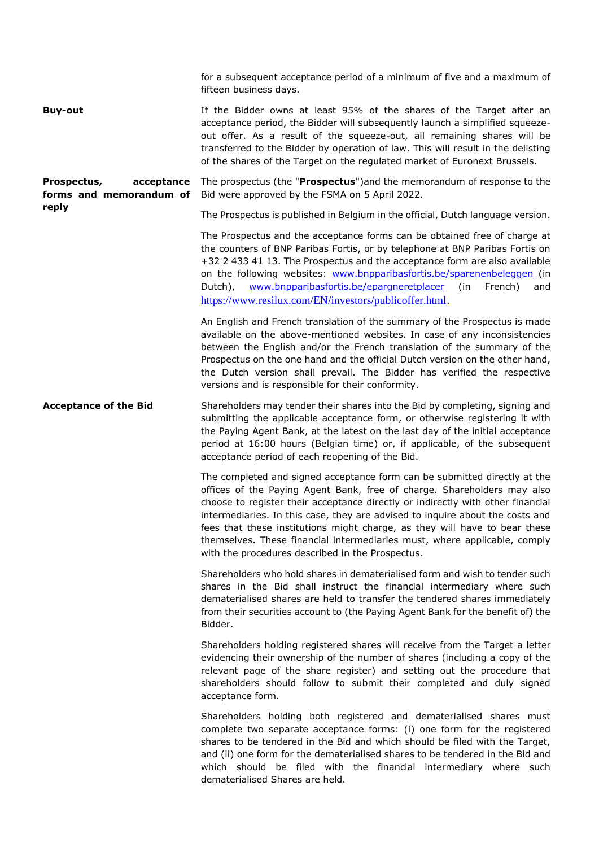|                                                               | for a subsequent acceptance period of a minimum of five and a maximum of<br>fifteen business days.                                                                                                                                                                                                                                                                                                                                                                                                                                      |
|---------------------------------------------------------------|-----------------------------------------------------------------------------------------------------------------------------------------------------------------------------------------------------------------------------------------------------------------------------------------------------------------------------------------------------------------------------------------------------------------------------------------------------------------------------------------------------------------------------------------|
| <b>Buy-out</b>                                                | If the Bidder owns at least 95% of the shares of the Target after an<br>acceptance period, the Bidder will subsequently launch a simplified squeeze-<br>out offer. As a result of the squeeze-out, all remaining shares will be<br>transferred to the Bidder by operation of law. This will result in the delisting<br>of the shares of the Target on the regulated market of Euronext Brussels.                                                                                                                                        |
| Prospectus,<br>acceptance<br>forms and memorandum of<br>reply | The prospectus (the "Prospectus") and the memorandum of response to the<br>Bid were approved by the FSMA on 5 April 2022.                                                                                                                                                                                                                                                                                                                                                                                                               |
|                                                               | The Prospectus is published in Belgium in the official, Dutch language version.                                                                                                                                                                                                                                                                                                                                                                                                                                                         |
|                                                               | The Prospectus and the acceptance forms can be obtained free of charge at<br>the counters of BNP Paribas Fortis, or by telephone at BNP Paribas Fortis on<br>+32 2 433 41 13. The Prospectus and the acceptance form are also available<br>on the following websites: www.bnpparibasfortis.be/sparenenbeleggen (in<br>www.bnpparibasfortis.be/epargneretplacer<br>Dutch),<br>(in<br>French)<br>and<br>https://www.resilux.com/EN/investors/publicoffer.html.                                                                            |
|                                                               | An English and French translation of the summary of the Prospectus is made<br>available on the above-mentioned websites. In case of any inconsistencies<br>between the English and/or the French translation of the summary of the<br>Prospectus on the one hand and the official Dutch version on the other hand,<br>the Dutch version shall prevail. The Bidder has verified the respective<br>versions and is responsible for their conformity.                                                                                      |
| <b>Acceptance of the Bid</b>                                  | Shareholders may tender their shares into the Bid by completing, signing and<br>submitting the applicable acceptance form, or otherwise registering it with<br>the Paying Agent Bank, at the latest on the last day of the initial acceptance<br>period at 16:00 hours (Belgian time) or, if applicable, of the subsequent<br>acceptance period of each reopening of the Bid.                                                                                                                                                           |
|                                                               | The completed and signed acceptance form can be submitted directly at the<br>offices of the Paying Agent Bank, free of charge. Shareholders may also<br>choose to register their acceptance directly or indirectly with other financial<br>intermediaries. In this case, they are advised to inquire about the costs and<br>fees that these institutions might charge, as they will have to bear these<br>themselves. These financial intermediaries must, where applicable, comply<br>with the procedures described in the Prospectus. |
|                                                               | Shareholders who hold shares in dematerialised form and wish to tender such<br>shares in the Bid shall instruct the financial intermediary where such<br>dematerialised shares are held to transfer the tendered shares immediately<br>from their securities account to (the Paying Agent Bank for the benefit of) the<br>Bidder.                                                                                                                                                                                                       |
|                                                               | Shareholders holding registered shares will receive from the Target a letter<br>evidencing their ownership of the number of shares (including a copy of the<br>relevant page of the share register) and setting out the procedure that<br>shareholders should follow to submit their completed and duly signed<br>acceptance form.                                                                                                                                                                                                      |
|                                                               | Shareholders holding both registered and dematerialised shares must<br>complete two separate acceptance forms: (i) one form for the registered<br>shares to be tendered in the Bid and which should be filed with the Target,<br>and (ii) one form for the dematerialised shares to be tendered in the Bid and<br>which should be filed with the financial intermediary where such<br>dematerialised Shares are held.                                                                                                                   |